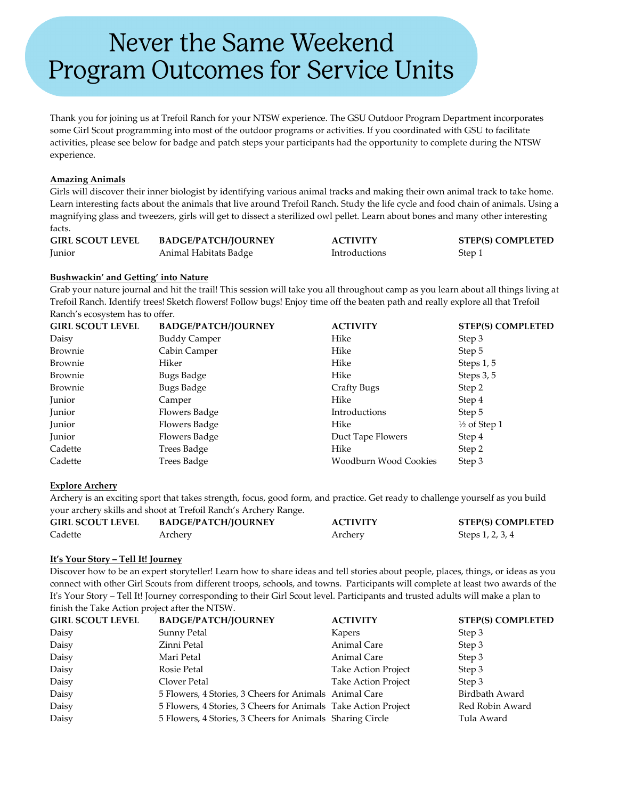# Never the Same Weekend **Program Outcomes for Service Units**

Thank you for joining us at Trefoil Ranch for your NTSW experience. The GSU Outdoor Program Department incorporates some Girl Scout programming into most of the outdoor programs or activities. If you coordinated with GSU to facilitate activities, please see below for badge and patch steps your participants had the opportunity to complete during the NTSW experience.

## **Amazing Animals**

Girls will discover their inner biologist by identifying various animal tracks and making their own animal track to take home. Learn interesting facts about the animals that live around Trefoil Ranch. Study the life cycle and food chain of animals. Using a magnifying glass and tweezers, girls will get to dissect a sterilized owl pellet. Learn about bones and many other interesting facts.

| <b>GIRL SCOUT LEVEL</b> | <b>BADGE/PATCH/JOURNEY</b> | <b>ACTIVITY</b> | <b>STEP(S) COMPLETED</b> |
|-------------------------|----------------------------|-----------------|--------------------------|
| Junior                  | Animal Habitats Badge      | Introductions   | Step 1                   |

## **Bushwackin' and Getting' into Nature**

Grab your nature journal and hit the trail! This session will take you all throughout camp as you learn about all things living at Trefoil Ranch. Identify trees! Sketch flowers! Follow bugs! Enjoy time off the beaten path and really explore all that Trefoil Ranch's ecosystem has to offer.

| <b>GIRL SCOUT LEVEL</b> | <b>BADGE/PATCH/JOURNEY</b> | <b>ACTIVITY</b>       | <b>STEP(S) COMPLETED</b> |
|-------------------------|----------------------------|-----------------------|--------------------------|
| Daisy                   | <b>Buddy Camper</b>        | Hike                  | Step 3                   |
| Brownie                 | Cabin Camper               | Hike                  | Step 5                   |
| Brownie                 | Hiker                      | Hike                  | Steps $1, 5$             |
| Brownie                 | Bugs Badge                 | Hike                  | Steps 3, 5               |
| Brownie                 | Bugs Badge                 | <b>Crafty Bugs</b>    | Step 2                   |
| Junior                  | Camper                     | Hike                  | Step 4                   |
| Junior                  | Flowers Badge              | Introductions         | Step 5                   |
| Junior                  | Flowers Badge              | Hike                  | $\frac{1}{2}$ of Step 1  |
| Junior                  | Flowers Badge              | Duct Tape Flowers     | Step 4                   |
| Cadette                 | Trees Badge                | Hike                  | Step 2                   |
| Cadette                 | Trees Badge                | Woodburn Wood Cookies | Step 3                   |

# **Explore Archery**

Archery is an exciting sport that takes strength, focus, good form, and practice. Get ready to challenge yourself as you build your archery skills and shoot at Trefoil Ranch's Archery Range.

| <b>GIRL SCOUT LEVEL</b> | <b>BADGE/PATCH/JOURNEY</b> | <b>ACTIVITY</b> | <b>STEP(S) COMPLETED</b> |
|-------------------------|----------------------------|-----------------|--------------------------|
| Cadette                 | Archery                    | Archery         | Steps 1, 2, 3, 4         |

#### **It's Your Story – Tell It! Journey**

Discover how to be an expert storyteller! Learn how to share ideas and tell stories about people, places, things, or ideas as you connect with other Girl Scouts from different troops, schools, and towns. Participants will complete at least two awards of the It's Your Story – Tell It! Journey corresponding to their Girl Scout level. Participants and trusted adults will make a plan to finish the Take Action project after the NTSW.

| <b>GIRL SCOUT LEVEL</b> | <b>BADGE/PATCH/JOURNEY</b>                                     | <b>ACTIVITY</b>            | <b>STEP(S) COMPLETED</b> |
|-------------------------|----------------------------------------------------------------|----------------------------|--------------------------|
| Daisy                   | Sunny Petal                                                    | Kapers                     | Step 3                   |
| Daisy                   | Zinni Petal                                                    | Animal Care                | Step 3                   |
| Daisy                   | Mari Petal                                                     | Animal Care                | Step 3                   |
| Daisy                   | Rosie Petal                                                    | Take Action Project        | Step 3                   |
| Daisy                   | Clover Petal                                                   | <b>Take Action Project</b> | Step 3                   |
| Daisy                   | 5 Flowers, 4 Stories, 3 Cheers for Animals Animal Care         |                            | Birdbath Award           |
| Daisy                   | 5 Flowers, 4 Stories, 3 Cheers for Animals Take Action Project |                            | Red Robin Award          |
| Daisy                   | 5 Flowers, 4 Stories, 3 Cheers for Animals Sharing Circle      |                            | Tula Award               |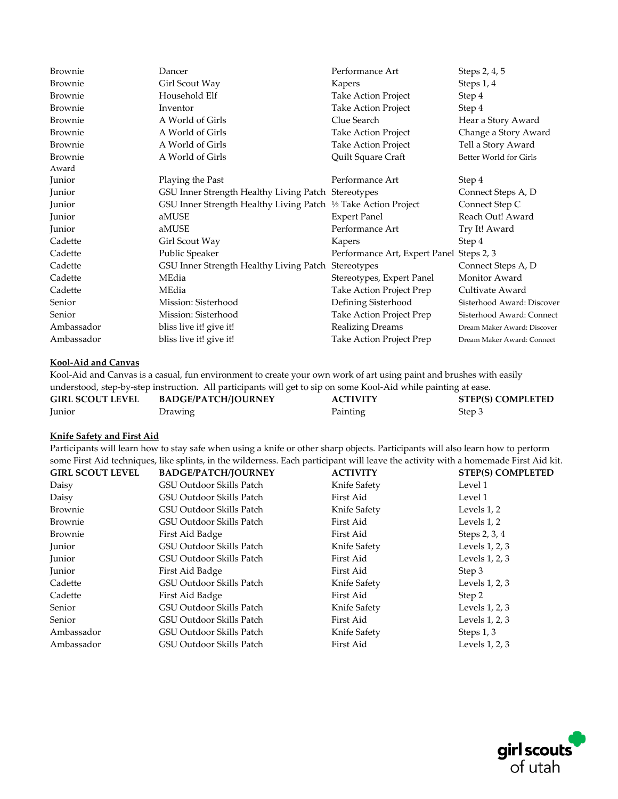| Brownie        | Dancer                                                          | Performance Art                          | Steps 2, 4, 5               |
|----------------|-----------------------------------------------------------------|------------------------------------------|-----------------------------|
| Brownie        | Girl Scout Way                                                  | Kapers                                   | Steps 1, 4                  |
| Brownie        | Household Elf                                                   | <b>Take Action Project</b>               | Step 4                      |
| Brownie        | Inventor                                                        | Take Action Project                      | Step 4                      |
| Brownie        | A World of Girls                                                | Clue Search                              | Hear a Story Award          |
| Brownie        | A World of Girls                                                | <b>Take Action Project</b>               | Change a Story Award        |
| Brownie        | A World of Girls                                                | Take Action Project                      | Tell a Story Award          |
| <b>Brownie</b> | A World of Girls                                                | Quilt Square Craft                       | Better World for Girls      |
| Award          |                                                                 |                                          |                             |
| Junior         | Playing the Past                                                | Performance Art                          | Step 4                      |
| Junior         | GSU Inner Strength Healthy Living Patch Stereotypes             |                                          | Connect Steps A, D          |
| Junior         | GSU Inner Strength Healthy Living Patch 1/2 Take Action Project |                                          | Connect Step C              |
| Junior         | aMUSE                                                           | <b>Expert Panel</b>                      | Reach Out! Award            |
| Junior         | aMUSE                                                           | Performance Art                          | Try It! Award               |
| Cadette        | Girl Scout Way                                                  | Kapers                                   | Step 4                      |
| Cadette        | Public Speaker                                                  | Performance Art, Expert Panel Steps 2, 3 |                             |
| Cadette        | GSU Inner Strength Healthy Living Patch Stereotypes             |                                          | Connect Steps A, D          |
| Cadette        | MEdia                                                           | Stereotypes, Expert Panel                | Monitor Award               |
| Cadette        | MEdia                                                           | Take Action Project Prep                 | Cultivate Award             |
| Senior         | Mission: Sisterhood                                             | Defining Sisterhood                      | Sisterhood Award: Discover  |
| Senior         | Mission: Sisterhood                                             | Take Action Project Prep                 | Sisterhood Award: Connect   |
| Ambassador     | bliss live it! give it!                                         | <b>Realizing Dreams</b>                  | Dream Maker Award: Discover |
| Ambassador     | bliss live it! give it!                                         | Take Action Project Prep                 | Dream Maker Award: Connect  |

# **Kool-Aid and Canvas**

Kool-Aid and Canvas is a casual, fun environment to create your own work of art using paint and brushes with easily understood, step-by-step instruction. All participants will get to sip on some Kool-Aid while painting at ease.

| understood, step-by-step instruction. All participants will get to sip on some Nool-Ald write painting at ease |                            |                 |                          |  |
|----------------------------------------------------------------------------------------------------------------|----------------------------|-----------------|--------------------------|--|
| <b>GIRL SCOUT LEVEL</b>                                                                                        | <b>BADGE/PATCH/JOURNEY</b> | <b>ACTIVITY</b> | <b>STEP(S) COMPLETED</b> |  |
| <b>Iunior</b>                                                                                                  | <b>Drawing</b>             | Painting        | Step 3                   |  |

## **Knife Safety and First Aid**

Participants will learn how to stay safe when using a knife or other sharp objects. Participants will also learn how to perform some First Aid techniques, like splints, in the wilderness. Each participant will leave the activity with a homemade First Aid kit.

| <b>GIRL SCOUT LEVEL</b> | <b>BADGE/PATCH/JOURNEY</b> | <b>ACTIVITY</b> | <b>STEP(S) COMPLETED</b> |
|-------------------------|----------------------------|-----------------|--------------------------|
| Daisy                   | GSU Outdoor Skills Patch   | Knife Safety    | Level 1                  |
| Daisy                   | GSU Outdoor Skills Patch   | First Aid       | Level 1                  |
| Brownie                 | GSU Outdoor Skills Patch   | Knife Safety    | Levels 1, 2              |
| Brownie                 | GSU Outdoor Skills Patch   | First Aid       | Levels 1, 2              |
| Brownie                 | First Aid Badge            | First Aid       | Steps 2, 3, 4            |
| Junior                  | GSU Outdoor Skills Patch   | Knife Safety    | Levels 1, 2, 3           |
| Junior                  | GSU Outdoor Skills Patch   | First Aid       | Levels 1, 2, 3           |
| Junior                  | First Aid Badge            | First Aid       | Step 3                   |
| Cadette                 | GSU Outdoor Skills Patch   | Knife Safety    | Levels $1, 2, 3$         |
| Cadette                 | First Aid Badge            | First Aid       | Step 2                   |
| Senior                  | GSU Outdoor Skills Patch   | Knife Safety    | Levels 1, 2, 3           |
| Senior                  | GSU Outdoor Skills Patch   | First Aid       | Levels 1, 2, 3           |
| Ambassador              | GSU Outdoor Skills Patch   | Knife Safety    | Steps $1, 3$             |
| Ambassador              | GSU Outdoor Skills Patch   | First Aid       | Levels 1, 2, 3           |

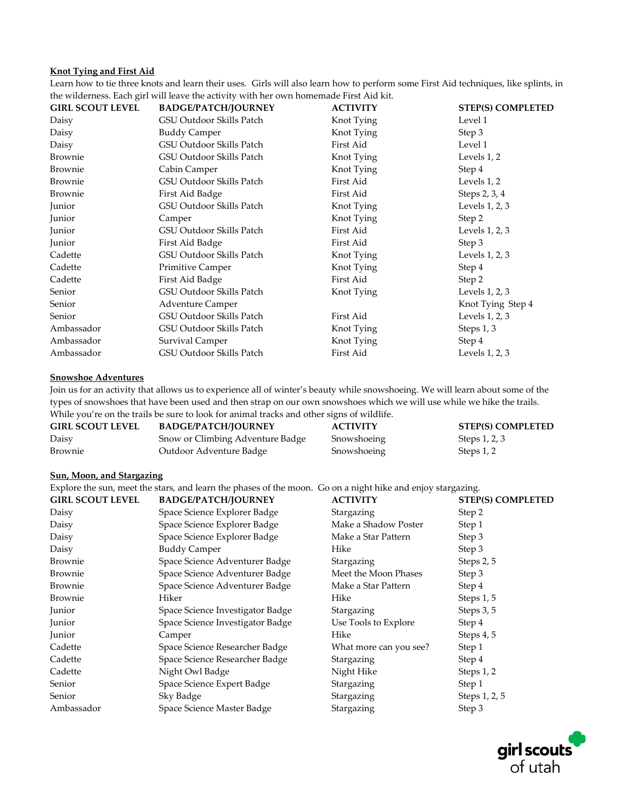#### **Knot Tying and First Aid**

Learn how to tie three knots and learn their uses. Girls will also learn how to perform some First Aid techniques, like splints, in the wilderness. Each girl will leave the activity with her own homemade First Aid kit.

| <b>BADGE/PATCH/JOURNEY</b> | <b>ACTIVITY</b> | <b>STEP(S) COMPLETED</b> |
|----------------------------|-----------------|--------------------------|
| GSU Outdoor Skills Patch   | Knot Tying      | Level 1                  |
| <b>Buddy Camper</b>        | Knot Tying      | Step 3                   |
| GSU Outdoor Skills Patch   | First Aid       | Level 1                  |
| GSU Outdoor Skills Patch   | Knot Tying      | Levels 1, 2              |
| Cabin Camper               | Knot Tying      | Step 4                   |
| GSU Outdoor Skills Patch   | First Aid       | Levels 1, 2              |
| First Aid Badge            | First Aid       | Steps 2, 3, 4            |
| GSU Outdoor Skills Patch   | Knot Tying      | Levels 1, 2, 3           |
| Camper                     | Knot Tying      | Step 2                   |
| GSU Outdoor Skills Patch   | First Aid       | Levels 1, 2, 3           |
| First Aid Badge            | First Aid       | Step 3                   |
| GSU Outdoor Skills Patch   | Knot Tying      | Levels 1, 2, 3           |
| <b>Primitive Camper</b>    | Knot Tying      | Step 4                   |
| First Aid Badge            | First Aid       | Step 2                   |
| GSU Outdoor Skills Patch   | Knot Tying      | Levels 1, 2, 3           |
| <b>Adventure Camper</b>    |                 | Knot Tying Step 4        |
| GSU Outdoor Skills Patch   | First Aid       | Levels $1, 2, 3$         |
| GSU Outdoor Skills Patch   | Knot Tying      | Steps 1, 3               |
| Survival Camper            | Knot Tying      | Step 4                   |
| GSU Outdoor Skills Patch   | First Aid       | Levels $1, 2, 3$         |
|                            |                 |                          |

# **Snowshoe Adventures**

Join us for an activity that allows us to experience all of winter's beauty while snowshoeing. We will learn about some of the types of snowshoes that have been used and then strap on our own snowshoes which we will use while we hike the trails.

While you're on the trails be sure to look for animal tracks and other signs of wildlife.

| <b>GIRL SCOUT LEVEL</b> | <b>BADGE/PATCH/JOURNEY</b>       | <b>ACTIVITY</b> | <b>STEP(S) COMPLETED</b> |
|-------------------------|----------------------------------|-----------------|--------------------------|
| Daisy                   | Snow or Climbing Adventure Badge | Snowshoeing     | Steps 1, 2, 3            |
| Brownie                 | Outdoor Adventure Badge          | Snowshoeing     | Steps 1, 2               |

#### **Sun, Moon, and Stargazing**

Explore the sun, meet the stars, and learn the phases of the moon. Go on a night hike and enjoy stargazing.

| <b>GIRL SCOUT LEVEL</b> | <b>BADGE/PATCH/JOURNEY</b>       | <b>ACTIVITY</b>        | <b>STEP(S) COMPLETED</b> |
|-------------------------|----------------------------------|------------------------|--------------------------|
| Daisy                   | Space Science Explorer Badge     | Stargazing             | Step 2                   |
| Daisy                   | Space Science Explorer Badge     | Make a Shadow Poster   | Step 1                   |
| Daisy                   | Space Science Explorer Badge     | Make a Star Pattern    | Step 3                   |
| Daisy                   | <b>Buddy Camper</b>              | Hike                   | Step 3                   |
| Brownie                 | Space Science Adventurer Badge   | Stargazing             | Steps 2, 5               |
| Brownie                 | Space Science Adventurer Badge   | Meet the Moon Phases   | Step 3                   |
| Brownie                 | Space Science Adventurer Badge   | Make a Star Pattern    | Step 4                   |
| Brownie                 | Hiker                            | Hike                   | Steps 1, 5               |
| Junior                  | Space Science Investigator Badge | Stargazing             | Steps 3, 5               |
| Junior                  | Space Science Investigator Badge | Use Tools to Explore   | Step 4                   |
| Junior                  | Camper                           | Hike                   | Steps 4, 5               |
| Cadette                 | Space Science Researcher Badge   | What more can you see? | Step 1                   |
| Cadette                 | Space Science Researcher Badge   | Stargazing             | Step 4                   |
| Cadette                 | Night Owl Badge                  | Night Hike             | Steps 1, 2               |
| Senior                  | Space Science Expert Badge       | Stargazing             | Step 1                   |
| Senior                  | Sky Badge                        | Stargazing             | Steps 1, 2, 5            |
| Ambassador              | Space Science Master Badge       | Stargazing             | Step 3                   |